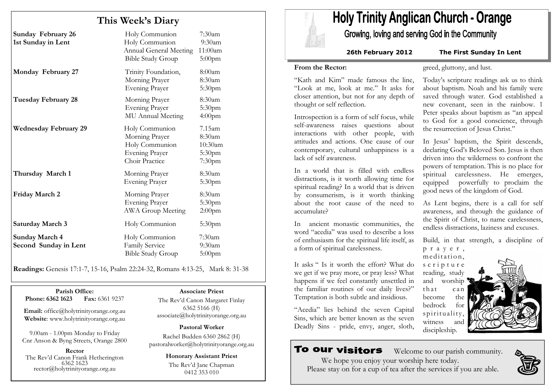## This Week's Diary

| <b>Sunday February 26</b><br>1st Sunday in Lent | Holy Communion<br>Holy Communion<br><b>Annual General Meeting</b><br><b>Bible Study Group</b> | $7:30$ am<br>9:30am<br>11:00am<br>$5:00$ pm                                |
|-------------------------------------------------|-----------------------------------------------------------------------------------------------|----------------------------------------------------------------------------|
| Monday February 27                              | Trinity Foundation,<br>Morning Prayer<br><b>Evening Prayer</b>                                | 8:00am<br>8:30am<br>5:30pm                                                 |
| Tuesday February 28                             | Morning Prayer<br>Evening Prayer<br>MU Annual Meeting                                         | 8:30am<br>5:30pm<br>4:00 <sub>pm</sub>                                     |
| <b>Wednesday February 29</b>                    | Holy Communion<br>Morning Prayer<br>Holy Communion<br><b>Evening Prayer</b><br>Choir Practice | $7.15$ am<br>8:30am<br>10:30am<br>5:30 <sub>pm</sub><br>7:30 <sub>pm</sub> |
| Thursday March 1                                | Morning Prayer<br><b>Evening Prayer</b>                                                       | 8:30am<br>5:30pm                                                           |
| <b>Friday March 2</b>                           | Morning Prayer<br><b>Evening Prayer</b><br><b>AWA Group Meeting</b>                           | 8:30am<br>5:30 <sub>pm</sub><br>$2:00$ pm                                  |
| <b>Saturday March 3</b>                         | Holy Communion                                                                                | 5:30 <sub>pm</sub>                                                         |
| <b>Sunday March 4</b><br>Second Sunday in Lent  | Holy Communion<br>Family Service<br><b>Bible Study Group</b>                                  | $7:30$ am<br>9:30am<br>$5:00$ pm                                           |

Readings: Genesis 17:1-7, 15-16, Psalm 22:24-32, Romans 4:13-25, Mark 8: 31-38

Parish Office: Fax: 6361 9237 Phone: 6362 1623

Email: office@holytrinityorange.org.au Website: www.holytrinityorange.org.au

9.00am - 1.00pm Monday to Friday Cnr Anson & Byng Streets, Orange 2800

Rector The Rev'd Canon Frank Hetherington 6362 1623 rector@holytrinityorange.org.au

#### Associate Priest

The Rev'd Canon Margaret Finlay 6362 5166 (H) associate@holytrinityorange.org.au

Pastoral Worker

Rachel Budden 6360 2862 (H) pastoralworker@holytrinityorange.org.au

Honorary Assistant Priest

The Rev'd Jane Chapman 0412 353 010

# **Holy Trinity Anglican Church - Orange**

Growing, loving and serving God in the Community

26th February 2012 The First Sunday In Lent

#### From the Rector:

"Kath and Kim" made famous the line, "Look at me, look at me." It asks for closer attention, but not for any depth of thought or self reflection.

Introspection is a form of self focus, while self-awareness raises questions about interactions with other people, with attitudes and actions. One cause of our contemporary, cultural unhappiness is a lack of self awareness.

In a world that is filled with endless distractions, is it worth allowing time for spiritual reading? In a world that is driven by consumerism, is it worth thinking about the root cause of the need to accumulate?

In ancient monastic communities, the word "acedia" was used to describe a loss of enthusiasm for the spiritual life itself, as a form of spiritual carelessness.

It asks " Is it worth the effort? What do we get if we pray more, or pray less? What happens if we feel constantly unsettled in the familiar routines of our daily lives?" Temptation is both subtle and insidious.

"Acedia" lies behind the seven Capital Sins, which are better known as the seven Deadly Sins - pride, envy, anger, sloth,

To our visitors

Welcome to our parish community.



Today's scripture readings ask us to think

greed, gluttony, and lust.

about baptism. Noah and his family were saved through water. God established a new covenant, seen in the rainbow. 1 Peter speaks about baptism as "an appeal to God for a good conscience, through the resurrection of Jesus Christ."

In Jesus' baptism, the Spirit descends, declaring God's Beloved Son. Jesus is then driven into the wilderness to confront the powers of temptation. This is no place for spiritual carelessness. He emerges, equipped powerfully to proclaim the good news of the kingdom of God.

As Lent begins, there is a call for self awareness, and through the guidance of the Spirit of Christ, to name carelessness, endless distractions, laziness and excuses.

Build, in that strength, a discipline of

meditation, s c r i p t u r e reading, study and worship that can<br>become the become bedrock for spirituality, witness and discipleship.

<sup>p</sup> <sup>r</sup> <sup>a</sup> <sup>y</sup> <sup>e</sup> <sup>r</sup> ,